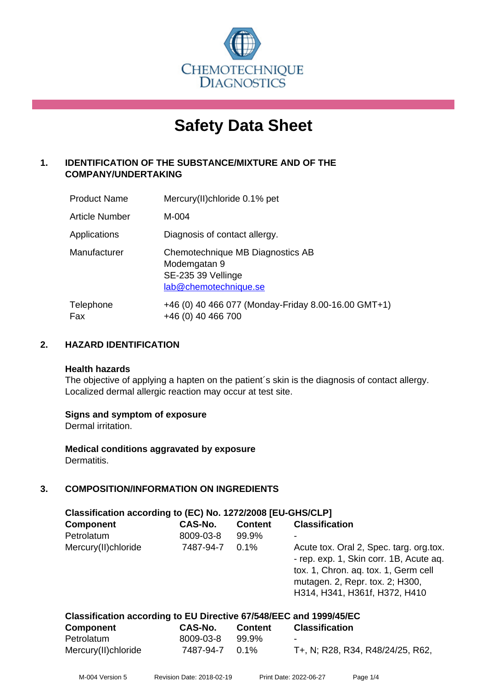

# **Safety Data Sheet**

# **1. IDENTIFICATION OF THE SUBSTANCE/MIXTURE AND OF THE COMPANY/UNDERTAKING**

| <b>Product Name</b>   | Mercury(II)chloride 0.1% pet                                                                    |
|-----------------------|-------------------------------------------------------------------------------------------------|
| <b>Article Number</b> | M-004                                                                                           |
| Applications          | Diagnosis of contact allergy.                                                                   |
| Manufacturer          | Chemotechnique MB Diagnostics AB<br>Modemgatan 9<br>SE-235 39 Vellinge<br>lab@chemotechnique.se |
| Telephone<br>Fax      | +46 (0) 40 466 077 (Monday-Friday 8.00-16.00 GMT+1)<br>+46 (0) 40 466 700                       |

# **2. HAZARD IDENTIFICATION**

#### **Health hazards**

The objective of applying a hapten on the patient's skin is the diagnosis of contact allergy. Localized dermal allergic reaction may occur at test site.

# **Signs and symptom of exposure**

Dermal irritation.

**Medical conditions aggravated by exposure** Dermatitis.

# **3. COMPOSITION/INFORMATION ON INGREDIENTS**

| Classification according to (EC) No. 1272/2008 [EU-GHS/CLP] |           |                |                                                                                                                                                                                                |  |  |
|-------------------------------------------------------------|-----------|----------------|------------------------------------------------------------------------------------------------------------------------------------------------------------------------------------------------|--|--|
| <b>Component</b>                                            | CAS-No.   | <b>Content</b> | <b>Classification</b>                                                                                                                                                                          |  |  |
| Petrolatum                                                  | 8009-03-8 | 99.9%          |                                                                                                                                                                                                |  |  |
| Mercury(II)chloride                                         | 7487-94-7 | 0.1%           | Acute tox. Oral 2, Spec. targ. org.tox.<br>- rep. exp. 1, Skin corr. 1B, Acute aq.<br>tox. 1, Chron. aq. tox. 1, Germ cell<br>mutagen. 2, Repr. tox. 2; H300,<br>H314, H341, H361f, H372, H410 |  |  |

| Classification according to EU Directive 67/548/EEC and 1999/45/EC |  |
|--------------------------------------------------------------------|--|
|--------------------------------------------------------------------|--|

| <b>Component</b>    | CAS-No.        | <b>Content</b> | <b>Classification</b>            |
|---------------------|----------------|----------------|----------------------------------|
| Petrolatum          | 8009-03-8      | 99.9%          | $\blacksquare$                   |
| Mercury(II)chloride | 7487-94-7 0.1% |                | T+, N; R28, R34, R48/24/25, R62, |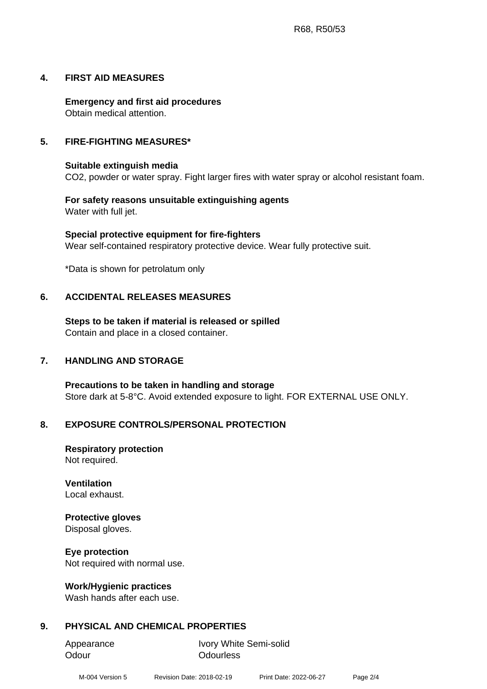# **4. FIRST AID MEASURES**

**Emergency and first aid procedures** Obtain medical attention.

#### **5. FIRE-FIGHTING MEASURES\***

#### **Suitable extinguish media**

CO2, powder or water spray. Fight larger fires with water spray or alcohol resistant foam.

#### **For safety reasons unsuitable extinguishing agents** Water with full jet.

**Special protective equipment for fire-fighters** Wear self-contained respiratory protective device. Wear fully protective suit.

\*Data is shown for petrolatum only

# **6. ACCIDENTAL RELEASES MEASURES**

**Steps to be taken if material is released or spilled** Contain and place in a closed container.

#### **7. HANDLING AND STORAGE**

**Precautions to be taken in handling and storage** Store dark at 5-8°C. Avoid extended exposure to light. FOR EXTERNAL USE ONLY.

#### **8. EXPOSURE CONTROLS/PERSONAL PROTECTION**

**Respiratory protection** Not required.

**Ventilation** Local exhaust.

#### **Protective gloves**

Disposal gloves.

#### **Eye protection**

Not required with normal use.

#### **Work/Hygienic practices**

Wash hands after each use.

# **9. PHYSICAL AND CHEMICAL PROPERTIES**

Odour **Odourless** 

Appearance Ivory White Semi-solid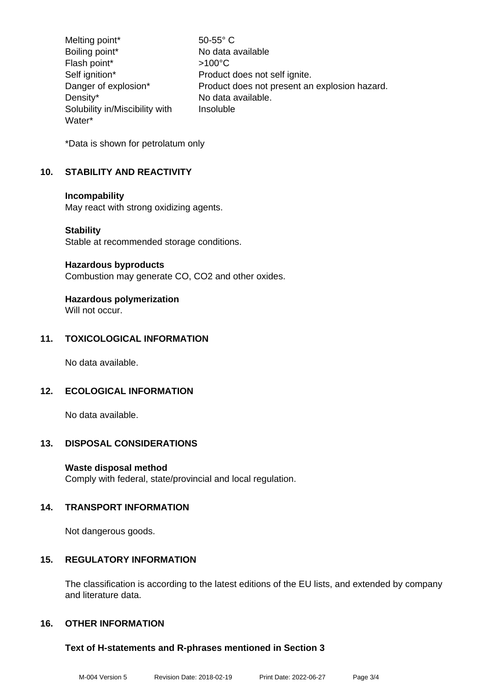Melting point\* 50-55° C Boiling point\* No data available Flash point\*  $>100^{\circ}$ C Self ignition\* Product does not self ignite. Danger of explosion\* Product does not present an explosion hazard. Density\* No data available. Solubility in/Miscibility with Water\* Insoluble

\*Data is shown for petrolatum only

# **10. STABILITY AND REACTIVITY**

#### **Incompability**

May react with strong oxidizing agents.

#### **Stability**

Stable at recommended storage conditions.

#### **Hazardous byproducts**

Combustion may generate CO, CO2 and other oxides.

# **Hazardous polymerization**

Will not occur.

# **11. TOXICOLOGICAL INFORMATION**

No data available.

# **12. ECOLOGICAL INFORMATION**

No data available.

# **13. DISPOSAL CONSIDERATIONS**

# **Waste disposal method**

Comply with federal, state/provincial and local regulation.

# **14. TRANSPORT INFORMATION**

Not dangerous goods.

# **15. REGULATORY INFORMATION**

The classification is according to the latest editions of the EU lists, and extended by company and literature data.

# **16. OTHER INFORMATION**

# **Text of H-statements and R-phrases mentioned in Section 3**